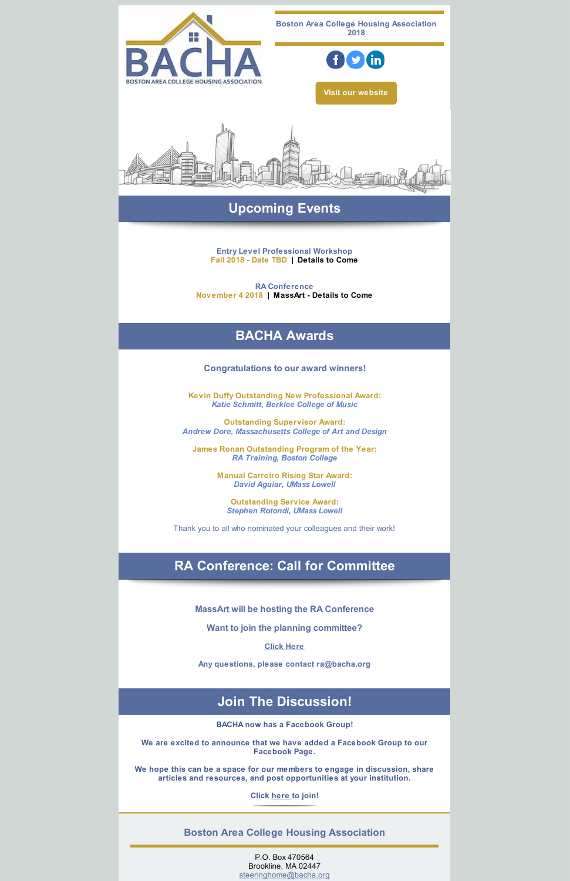

## **Upcoming Events**

**Entry Level Professional Workshop Fall 2018 - Date TBD | Details to Come**

**RA Conference November 4 2018 | MassArt - Details to Come**

## **BACHA Awards**

**Congratulations to our award winners!**

**Kevin Duffy Outstanding New Professional Award:** *Katie Schmitt, Berklee College of Music*

**Outstanding Supervisor Award:** *Andrew Dore, Massachusetts College of Art and Design*

**James Ronan Outstanding Program of the Year:** *RA Training, Boston College*

> **Manual Carreiro Rising Star Award:** *David Aguiar, UMass Lowell*

**Outstanding Service Award:** *Stephen Rotondi, UMass Lowell*

> P.O. Box 470564 Brookline, MA 02447 [steeringhome@bacha.org](mailto:steering@bacha.org)

Thank you to all who nominated your colleagues and their work!

## **RA Conference: Call for Committee**

**MassArt will be hosting the RA Conference**

**Want to join the planning committee?**

**[Click](https://docs.google.com/forms/d/1TtouI_2M_ap8NE9uw3DeV1OKRRNK_drpBBZ6BYinImI/viewform?edit_requested=true) Here**



**Any questions, please contact ra@bacha.org**

## **Join The Discussion!**

**BACHA now has a Facebook Group!**

**We are excited to announce that we have added a Facebook Group to our Facebook Page.**

**We hope this can be a space for our members to engage in discussion, share articles and resources, and post opportunities at your institution.**

**Click [here](https://www.facebook.com/groups/bachaonline/) to join!**

**Boston Area College Housing Association**